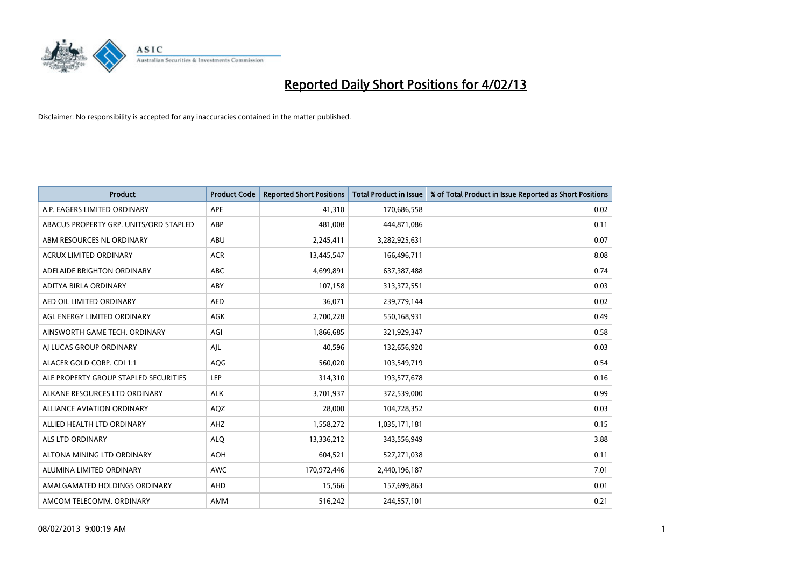

| <b>Product</b>                         | <b>Product Code</b> | <b>Reported Short Positions</b> | <b>Total Product in Issue</b> | % of Total Product in Issue Reported as Short Positions |
|----------------------------------------|---------------------|---------------------------------|-------------------------------|---------------------------------------------------------|
| A.P. EAGERS LIMITED ORDINARY           | <b>APE</b>          | 41,310                          | 170,686,558                   | 0.02                                                    |
| ABACUS PROPERTY GRP. UNITS/ORD STAPLED | ABP                 | 481,008                         | 444,871,086                   | 0.11                                                    |
| ABM RESOURCES NL ORDINARY              | ABU                 | 2,245,411                       | 3,282,925,631                 | 0.07                                                    |
| ACRUX LIMITED ORDINARY                 | <b>ACR</b>          | 13,445,547                      | 166,496,711                   | 8.08                                                    |
| ADELAIDE BRIGHTON ORDINARY             | <b>ABC</b>          | 4,699,891                       | 637,387,488                   | 0.74                                                    |
| ADITYA BIRLA ORDINARY                  | ABY                 | 107,158                         | 313,372,551                   | 0.03                                                    |
| AED OIL LIMITED ORDINARY               | <b>AED</b>          | 36,071                          | 239,779,144                   | 0.02                                                    |
| AGL ENERGY LIMITED ORDINARY            | AGK                 | 2,700,228                       | 550,168,931                   | 0.49                                                    |
| AINSWORTH GAME TECH. ORDINARY          | AGI                 | 1,866,685                       | 321,929,347                   | 0.58                                                    |
| AI LUCAS GROUP ORDINARY                | AIL                 | 40,596                          | 132,656,920                   | 0.03                                                    |
| ALACER GOLD CORP. CDI 1:1              | AQG                 | 560,020                         | 103,549,719                   | 0.54                                                    |
| ALE PROPERTY GROUP STAPLED SECURITIES  | <b>LEP</b>          | 314,310                         | 193,577,678                   | 0.16                                                    |
| ALKANE RESOURCES LTD ORDINARY          | <b>ALK</b>          | 3,701,937                       | 372,539,000                   | 0.99                                                    |
| <b>ALLIANCE AVIATION ORDINARY</b>      | AQZ                 | 28,000                          | 104,728,352                   | 0.03                                                    |
| ALLIED HEALTH LTD ORDINARY             | AHZ                 | 1,558,272                       | 1,035,171,181                 | 0.15                                                    |
| ALS LTD ORDINARY                       | <b>ALO</b>          | 13,336,212                      | 343,556,949                   | 3.88                                                    |
| ALTONA MINING LTD ORDINARY             | <b>AOH</b>          | 604,521                         | 527,271,038                   | 0.11                                                    |
| ALUMINA LIMITED ORDINARY               | <b>AWC</b>          | 170,972,446                     | 2,440,196,187                 | 7.01                                                    |
| AMALGAMATED HOLDINGS ORDINARY          | AHD                 | 15,566                          | 157,699,863                   | 0.01                                                    |
| AMCOM TELECOMM. ORDINARY               | <b>AMM</b>          | 516,242                         | 244,557,101                   | 0.21                                                    |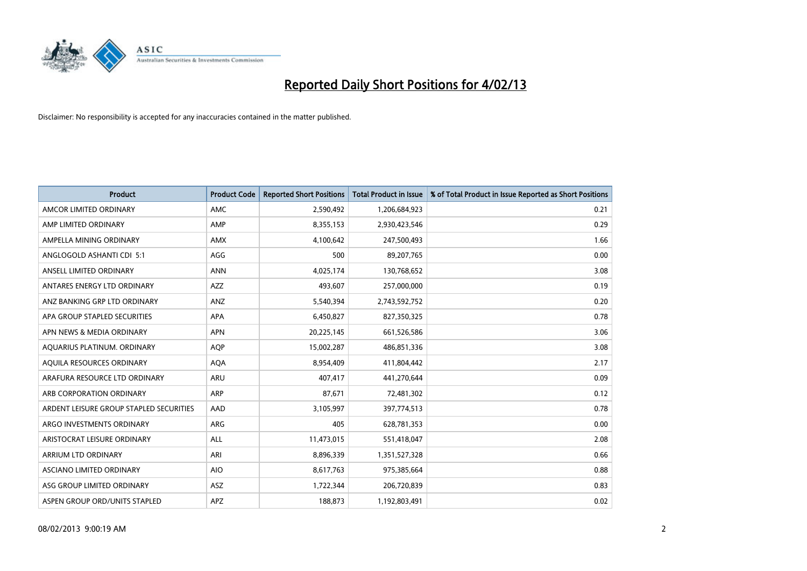

| <b>Product</b>                          | <b>Product Code</b> | <b>Reported Short Positions</b> | <b>Total Product in Issue</b> | % of Total Product in Issue Reported as Short Positions |
|-----------------------------------------|---------------------|---------------------------------|-------------------------------|---------------------------------------------------------|
| AMCOR LIMITED ORDINARY                  | <b>AMC</b>          | 2,590,492                       | 1,206,684,923                 | 0.21                                                    |
| AMP LIMITED ORDINARY                    | AMP                 | 8,355,153                       | 2,930,423,546                 | 0.29                                                    |
| AMPELLA MINING ORDINARY                 | <b>AMX</b>          | 4,100,642                       | 247,500,493                   | 1.66                                                    |
| ANGLOGOLD ASHANTI CDI 5:1               | AGG                 | 500                             | 89,207,765                    | 0.00                                                    |
| ANSELL LIMITED ORDINARY                 | <b>ANN</b>          | 4,025,174                       | 130,768,652                   | 3.08                                                    |
| ANTARES ENERGY LTD ORDINARY             | <b>AZZ</b>          | 493,607                         | 257,000,000                   | 0.19                                                    |
| ANZ BANKING GRP LTD ORDINARY            | ANZ                 | 5,540,394                       | 2,743,592,752                 | 0.20                                                    |
| APA GROUP STAPLED SECURITIES            | <b>APA</b>          | 6,450,827                       | 827,350,325                   | 0.78                                                    |
| APN NEWS & MEDIA ORDINARY               | <b>APN</b>          | 20,225,145                      | 661,526,586                   | 3.06                                                    |
| AQUARIUS PLATINUM. ORDINARY             | <b>AOP</b>          | 15,002,287                      | 486,851,336                   | 3.08                                                    |
| AQUILA RESOURCES ORDINARY               | <b>AQA</b>          | 8,954,409                       | 411,804,442                   | 2.17                                                    |
| ARAFURA RESOURCE LTD ORDINARY           | ARU                 | 407,417                         | 441,270,644                   | 0.09                                                    |
| ARB CORPORATION ORDINARY                | <b>ARP</b>          | 87,671                          | 72,481,302                    | 0.12                                                    |
| ARDENT LEISURE GROUP STAPLED SECURITIES | AAD                 | 3,105,997                       | 397,774,513                   | 0.78                                                    |
| ARGO INVESTMENTS ORDINARY               | <b>ARG</b>          | 405                             | 628,781,353                   | 0.00                                                    |
| ARISTOCRAT LEISURE ORDINARY             | <b>ALL</b>          | 11,473,015                      | 551,418,047                   | 2.08                                                    |
| ARRIUM LTD ORDINARY                     | ARI                 | 8,896,339                       | 1,351,527,328                 | 0.66                                                    |
| ASCIANO LIMITED ORDINARY                | <b>AIO</b>          | 8,617,763                       | 975,385,664                   | 0.88                                                    |
| ASG GROUP LIMITED ORDINARY              | <b>ASZ</b>          | 1,722,344                       | 206,720,839                   | 0.83                                                    |
| ASPEN GROUP ORD/UNITS STAPLED           | APZ                 | 188,873                         | 1,192,803,491                 | 0.02                                                    |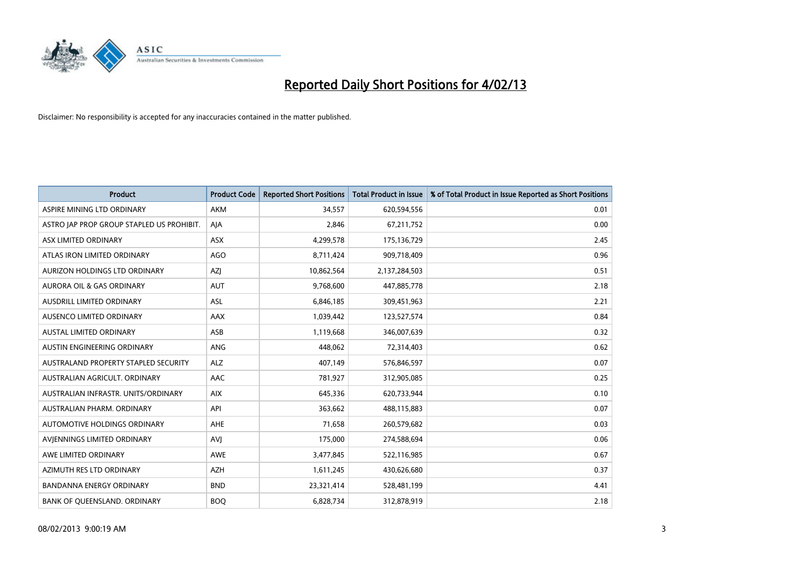

| <b>Product</b>                            | <b>Product Code</b> | <b>Reported Short Positions</b> | <b>Total Product in Issue</b> | % of Total Product in Issue Reported as Short Positions |
|-------------------------------------------|---------------------|---------------------------------|-------------------------------|---------------------------------------------------------|
| ASPIRE MINING LTD ORDINARY                | <b>AKM</b>          | 34,557                          | 620,594,556                   | 0.01                                                    |
| ASTRO JAP PROP GROUP STAPLED US PROHIBIT. | AIA                 | 2,846                           | 67,211,752                    | 0.00                                                    |
| ASX LIMITED ORDINARY                      | <b>ASX</b>          | 4,299,578                       | 175,136,729                   | 2.45                                                    |
| ATLAS IRON LIMITED ORDINARY               | <b>AGO</b>          | 8,711,424                       | 909,718,409                   | 0.96                                                    |
| <b>AURIZON HOLDINGS LTD ORDINARY</b>      | <b>AZI</b>          | 10,862,564                      | 2,137,284,503                 | 0.51                                                    |
| <b>AURORA OIL &amp; GAS ORDINARY</b>      | <b>AUT</b>          | 9,768,600                       | 447,885,778                   | 2.18                                                    |
| <b>AUSDRILL LIMITED ORDINARY</b>          | <b>ASL</b>          | 6,846,185                       | 309,451,963                   | 2.21                                                    |
| AUSENCO LIMITED ORDINARY                  | AAX                 | 1,039,442                       | 123,527,574                   | 0.84                                                    |
| <b>AUSTAL LIMITED ORDINARY</b>            | ASB                 | 1,119,668                       | 346,007,639                   | 0.32                                                    |
| AUSTIN ENGINEERING ORDINARY               | <b>ANG</b>          | 448,062                         | 72,314,403                    | 0.62                                                    |
| AUSTRALAND PROPERTY STAPLED SECURITY      | <b>ALZ</b>          | 407,149                         | 576,846,597                   | 0.07                                                    |
| AUSTRALIAN AGRICULT, ORDINARY             | AAC                 | 781,927                         | 312,905,085                   | 0.25                                                    |
| AUSTRALIAN INFRASTR. UNITS/ORDINARY       | <b>AIX</b>          | 645,336                         | 620,733,944                   | 0.10                                                    |
| AUSTRALIAN PHARM. ORDINARY                | API                 | 363,662                         | 488,115,883                   | 0.07                                                    |
| <b>AUTOMOTIVE HOLDINGS ORDINARY</b>       | <b>AHE</b>          | 71,658                          | 260,579,682                   | 0.03                                                    |
| AVIENNINGS LIMITED ORDINARY               | AVI                 | 175,000                         | 274,588,694                   | 0.06                                                    |
| AWE LIMITED ORDINARY                      | AWE                 | 3,477,845                       | 522,116,985                   | 0.67                                                    |
| AZIMUTH RES LTD ORDINARY                  | <b>AZH</b>          | 1,611,245                       | 430,626,680                   | 0.37                                                    |
| <b>BANDANNA ENERGY ORDINARY</b>           | <b>BND</b>          | 23,321,414                      | 528,481,199                   | 4.41                                                    |
| BANK OF QUEENSLAND. ORDINARY              | <b>BOO</b>          | 6,828,734                       | 312,878,919                   | 2.18                                                    |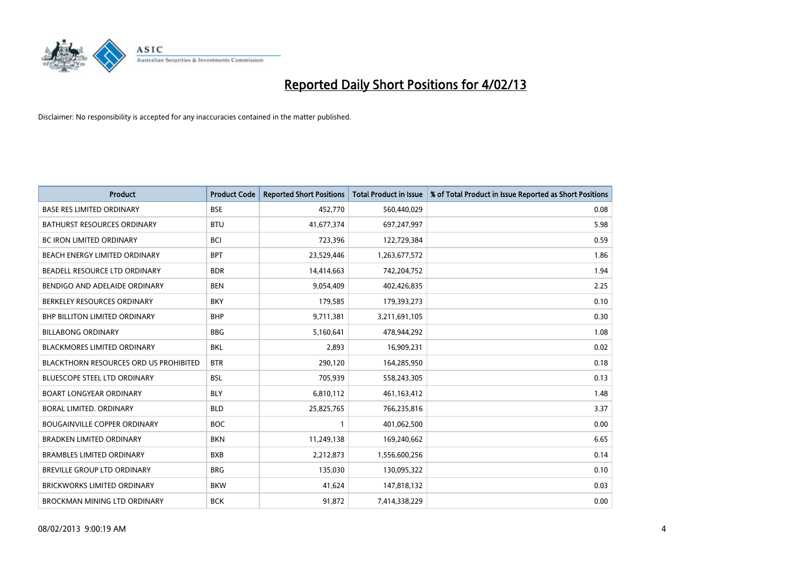

| <b>Product</b>                         | <b>Product Code</b> | <b>Reported Short Positions</b> | <b>Total Product in Issue</b> | % of Total Product in Issue Reported as Short Positions |
|----------------------------------------|---------------------|---------------------------------|-------------------------------|---------------------------------------------------------|
| <b>BASE RES LIMITED ORDINARY</b>       | <b>BSE</b>          | 452,770                         | 560,440,029                   | 0.08                                                    |
| <b>BATHURST RESOURCES ORDINARY</b>     | <b>BTU</b>          | 41,677,374                      | 697,247,997                   | 5.98                                                    |
| <b>BC IRON LIMITED ORDINARY</b>        | <b>BCI</b>          | 723,396                         | 122,729,384                   | 0.59                                                    |
| BEACH ENERGY LIMITED ORDINARY          | <b>BPT</b>          | 23,529,446                      | 1,263,677,572                 | 1.86                                                    |
| BEADELL RESOURCE LTD ORDINARY          | <b>BDR</b>          | 14,414,663                      | 742,204,752                   | 1.94                                                    |
| BENDIGO AND ADELAIDE ORDINARY          | <b>BEN</b>          | 9,054,409                       | 402,426,835                   | 2.25                                                    |
| BERKELEY RESOURCES ORDINARY            | <b>BKY</b>          | 179,585                         | 179,393,273                   | 0.10                                                    |
| BHP BILLITON LIMITED ORDINARY          | <b>BHP</b>          | 9,711,381                       | 3,211,691,105                 | 0.30                                                    |
| <b>BILLABONG ORDINARY</b>              | <b>BBG</b>          | 5,160,641                       | 478,944,292                   | 1.08                                                    |
| <b>BLACKMORES LIMITED ORDINARY</b>     | <b>BKL</b>          | 2,893                           | 16,909,231                    | 0.02                                                    |
| BLACKTHORN RESOURCES ORD US PROHIBITED | <b>BTR</b>          | 290,120                         | 164,285,950                   | 0.18                                                    |
| <b>BLUESCOPE STEEL LTD ORDINARY</b>    | <b>BSL</b>          | 705,939                         | 558,243,305                   | 0.13                                                    |
| <b>BOART LONGYEAR ORDINARY</b>         | <b>BLY</b>          | 6,810,112                       | 461,163,412                   | 1.48                                                    |
| <b>BORAL LIMITED, ORDINARY</b>         | <b>BLD</b>          | 25,825,765                      | 766,235,816                   | 3.37                                                    |
| <b>BOUGAINVILLE COPPER ORDINARY</b>    | <b>BOC</b>          |                                 | 401,062,500                   | 0.00                                                    |
| BRADKEN LIMITED ORDINARY               | <b>BKN</b>          | 11,249,138                      | 169,240,662                   | 6.65                                                    |
| <b>BRAMBLES LIMITED ORDINARY</b>       | <b>BXB</b>          | 2,212,873                       | 1,556,600,256                 | 0.14                                                    |
| BREVILLE GROUP LTD ORDINARY            | <b>BRG</b>          | 135,030                         | 130,095,322                   | 0.10                                                    |
| <b>BRICKWORKS LIMITED ORDINARY</b>     | <b>BKW</b>          | 41,624                          | 147,818,132                   | 0.03                                                    |
| BROCKMAN MINING LTD ORDINARY           | <b>BCK</b>          | 91,872                          | 7,414,338,229                 | 0.00                                                    |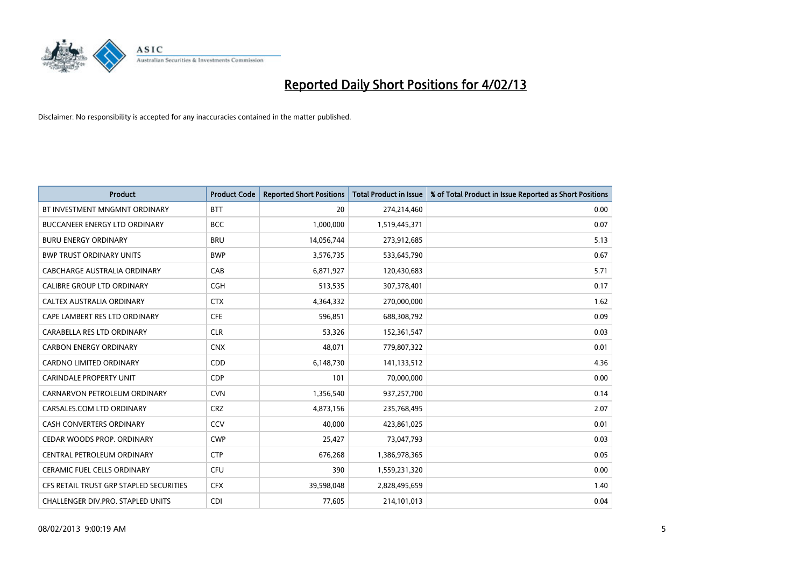

| <b>Product</b>                           | <b>Product Code</b> | <b>Reported Short Positions</b> | <b>Total Product in Issue</b> | % of Total Product in Issue Reported as Short Positions |
|------------------------------------------|---------------------|---------------------------------|-------------------------------|---------------------------------------------------------|
| BT INVESTMENT MNGMNT ORDINARY            | <b>BTT</b>          | 20                              | 274,214,460                   | 0.00                                                    |
| BUCCANEER ENERGY LTD ORDINARY            | <b>BCC</b>          | 1,000,000                       | 1,519,445,371                 | 0.07                                                    |
| <b>BURU ENERGY ORDINARY</b>              | <b>BRU</b>          | 14,056,744                      | 273,912,685                   | 5.13                                                    |
| <b>BWP TRUST ORDINARY UNITS</b>          | <b>BWP</b>          | 3,576,735                       | 533,645,790                   | 0.67                                                    |
| <b>CABCHARGE AUSTRALIA ORDINARY</b>      | CAB                 | 6,871,927                       | 120,430,683                   | 5.71                                                    |
| CALIBRE GROUP LTD ORDINARY               | CGH                 | 513,535                         | 307,378,401                   | 0.17                                                    |
| <b>CALTEX AUSTRALIA ORDINARY</b>         | <b>CTX</b>          | 4,364,332                       | 270,000,000                   | 1.62                                                    |
| CAPE LAMBERT RES LTD ORDINARY            | <b>CFE</b>          | 596,851                         | 688,308,792                   | 0.09                                                    |
| CARABELLA RES LTD ORDINARY               | <b>CLR</b>          | 53,326                          | 152,361,547                   | 0.03                                                    |
| <b>CARBON ENERGY ORDINARY</b>            | <b>CNX</b>          | 48,071                          | 779,807,322                   | 0.01                                                    |
| <b>CARDNO LIMITED ORDINARY</b>           | <b>CDD</b>          | 6,148,730                       | 141,133,512                   | 4.36                                                    |
| <b>CARINDALE PROPERTY UNIT</b>           | <b>CDP</b>          | 101                             | 70,000,000                    | 0.00                                                    |
| CARNARVON PETROLEUM ORDINARY             | <b>CVN</b>          | 1,356,540                       | 937,257,700                   | 0.14                                                    |
| CARSALES.COM LTD ORDINARY                | <b>CRZ</b>          | 4,873,156                       | 235,768,495                   | 2.07                                                    |
| <b>CASH CONVERTERS ORDINARY</b>          | CCV                 | 40.000                          | 423,861,025                   | 0.01                                                    |
| CEDAR WOODS PROP. ORDINARY               | <b>CWP</b>          | 25,427                          | 73,047,793                    | 0.03                                                    |
| CENTRAL PETROLEUM ORDINARY               | <b>CTP</b>          | 676,268                         | 1,386,978,365                 | 0.05                                                    |
| <b>CERAMIC FUEL CELLS ORDINARY</b>       | CFU                 | 390                             | 1,559,231,320                 | 0.00                                                    |
| CFS RETAIL TRUST GRP STAPLED SECURITIES  | <b>CFX</b>          | 39,598,048                      | 2,828,495,659                 | 1.40                                                    |
| <b>CHALLENGER DIV.PRO. STAPLED UNITS</b> | <b>CDI</b>          | 77.605                          | 214,101,013                   | 0.04                                                    |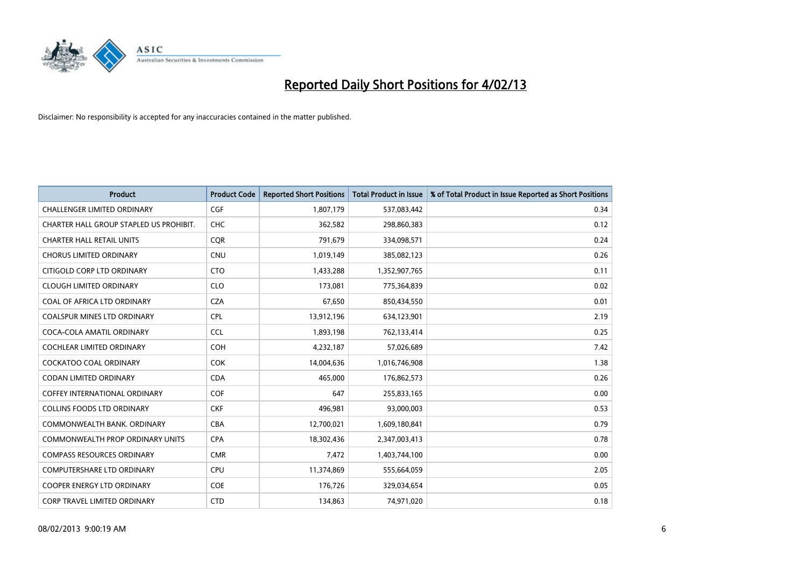

| <b>Product</b>                          | <b>Product Code</b> | <b>Reported Short Positions</b> | <b>Total Product in Issue</b> | % of Total Product in Issue Reported as Short Positions |
|-----------------------------------------|---------------------|---------------------------------|-------------------------------|---------------------------------------------------------|
| <b>CHALLENGER LIMITED ORDINARY</b>      | <b>CGF</b>          | 1,807,179                       | 537,083,442                   | 0.34                                                    |
| CHARTER HALL GROUP STAPLED US PROHIBIT. | <b>CHC</b>          | 362,582                         | 298,860,383                   | 0.12                                                    |
| <b>CHARTER HALL RETAIL UNITS</b>        | <b>COR</b>          | 791,679                         | 334,098,571                   | 0.24                                                    |
| <b>CHORUS LIMITED ORDINARY</b>          | <b>CNU</b>          | 1,019,149                       | 385,082,123                   | 0.26                                                    |
| CITIGOLD CORP LTD ORDINARY              | <b>CTO</b>          | 1,433,288                       | 1,352,907,765                 | 0.11                                                    |
| <b>CLOUGH LIMITED ORDINARY</b>          | <b>CLO</b>          | 173,081                         | 775,364,839                   | 0.02                                                    |
| COAL OF AFRICA LTD ORDINARY             | <b>CZA</b>          | 67,650                          | 850,434,550                   | 0.01                                                    |
| COALSPUR MINES LTD ORDINARY             | <b>CPL</b>          | 13,912,196                      | 634,123,901                   | 2.19                                                    |
| COCA-COLA AMATIL ORDINARY               | <b>CCL</b>          | 1,893,198                       | 762,133,414                   | 0.25                                                    |
| <b>COCHLEAR LIMITED ORDINARY</b>        | <b>COH</b>          | 4,232,187                       | 57,026,689                    | 7.42                                                    |
| COCKATOO COAL ORDINARY                  | <b>COK</b>          | 14,004,636                      | 1,016,746,908                 | 1.38                                                    |
| CODAN LIMITED ORDINARY                  | <b>CDA</b>          | 465,000                         | 176,862,573                   | 0.26                                                    |
| <b>COFFEY INTERNATIONAL ORDINARY</b>    | <b>COF</b>          | 647                             | 255,833,165                   | 0.00                                                    |
| <b>COLLINS FOODS LTD ORDINARY</b>       | <b>CKF</b>          | 496,981                         | 93,000,003                    | 0.53                                                    |
| COMMONWEALTH BANK, ORDINARY             | <b>CBA</b>          | 12,700,021                      | 1,609,180,841                 | 0.79                                                    |
| <b>COMMONWEALTH PROP ORDINARY UNITS</b> | <b>CPA</b>          | 18,302,436                      | 2,347,003,413                 | 0.78                                                    |
| <b>COMPASS RESOURCES ORDINARY</b>       | <b>CMR</b>          | 7,472                           | 1,403,744,100                 | 0.00                                                    |
| <b>COMPUTERSHARE LTD ORDINARY</b>       | <b>CPU</b>          | 11,374,869                      | 555,664,059                   | 2.05                                                    |
| <b>COOPER ENERGY LTD ORDINARY</b>       | <b>COE</b>          | 176,726                         | 329,034,654                   | 0.05                                                    |
| <b>CORP TRAVEL LIMITED ORDINARY</b>     | <b>CTD</b>          | 134,863                         | 74,971,020                    | 0.18                                                    |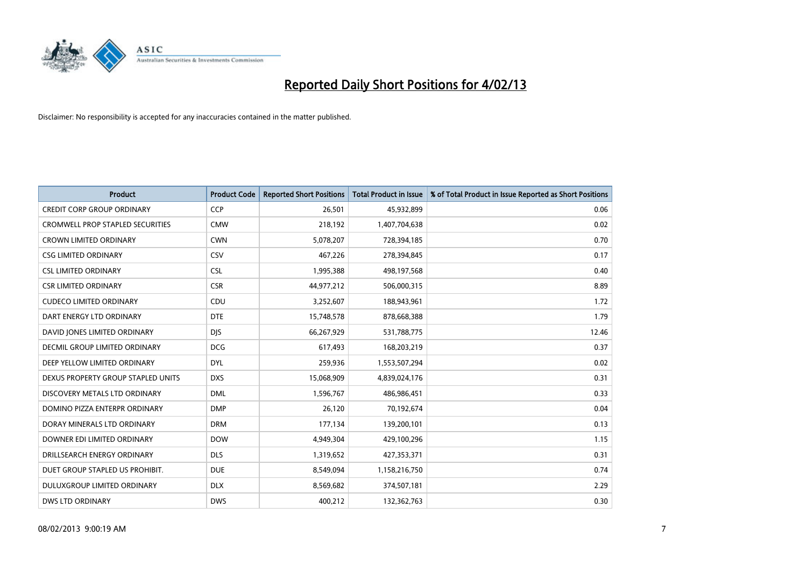

| <b>Product</b>                          | <b>Product Code</b> | <b>Reported Short Positions</b> | <b>Total Product in Issue</b> | % of Total Product in Issue Reported as Short Positions |
|-----------------------------------------|---------------------|---------------------------------|-------------------------------|---------------------------------------------------------|
| <b>CREDIT CORP GROUP ORDINARY</b>       | <b>CCP</b>          | 26,501                          | 45,932,899                    | 0.06                                                    |
| <b>CROMWELL PROP STAPLED SECURITIES</b> | <b>CMW</b>          | 218,192                         | 1,407,704,638                 | 0.02                                                    |
| <b>CROWN LIMITED ORDINARY</b>           | <b>CWN</b>          | 5,078,207                       | 728,394,185                   | 0.70                                                    |
| <b>CSG LIMITED ORDINARY</b>             | CSV                 | 467,226                         | 278,394,845                   | 0.17                                                    |
| <b>CSL LIMITED ORDINARY</b>             | <b>CSL</b>          | 1,995,388                       | 498,197,568                   | 0.40                                                    |
| <b>CSR LIMITED ORDINARY</b>             | <b>CSR</b>          | 44,977,212                      | 506,000,315                   | 8.89                                                    |
| <b>CUDECO LIMITED ORDINARY</b>          | CDU                 | 3,252,607                       | 188,943,961                   | 1.72                                                    |
| DART ENERGY LTD ORDINARY                | <b>DTE</b>          | 15,748,578                      | 878,668,388                   | 1.79                                                    |
| DAVID JONES LIMITED ORDINARY            | <b>DJS</b>          | 66,267,929                      | 531,788,775                   | 12.46                                                   |
| <b>DECMIL GROUP LIMITED ORDINARY</b>    | <b>DCG</b>          | 617,493                         | 168,203,219                   | 0.37                                                    |
| DEEP YELLOW LIMITED ORDINARY            | <b>DYL</b>          | 259,936                         | 1,553,507,294                 | 0.02                                                    |
| DEXUS PROPERTY GROUP STAPLED UNITS      | <b>DXS</b>          | 15,068,909                      | 4,839,024,176                 | 0.31                                                    |
| DISCOVERY METALS LTD ORDINARY           | <b>DML</b>          | 1,596,767                       | 486,986,451                   | 0.33                                                    |
| DOMINO PIZZA ENTERPR ORDINARY           | <b>DMP</b>          | 26,120                          | 70,192,674                    | 0.04                                                    |
| DORAY MINERALS LTD ORDINARY             | <b>DRM</b>          | 177,134                         | 139,200,101                   | 0.13                                                    |
| DOWNER EDI LIMITED ORDINARY             | <b>DOW</b>          | 4,949,304                       | 429,100,296                   | 1.15                                                    |
| DRILLSEARCH ENERGY ORDINARY             | <b>DLS</b>          | 1,319,652                       | 427,353,371                   | 0.31                                                    |
| DUET GROUP STAPLED US PROHIBIT.         | <b>DUE</b>          | 8,549,094                       | 1,158,216,750                 | 0.74                                                    |
| <b>DULUXGROUP LIMITED ORDINARY</b>      | <b>DLX</b>          | 8,569,682                       | 374,507,181                   | 2.29                                                    |
| <b>DWS LTD ORDINARY</b>                 | <b>DWS</b>          | 400.212                         | 132,362,763                   | 0.30                                                    |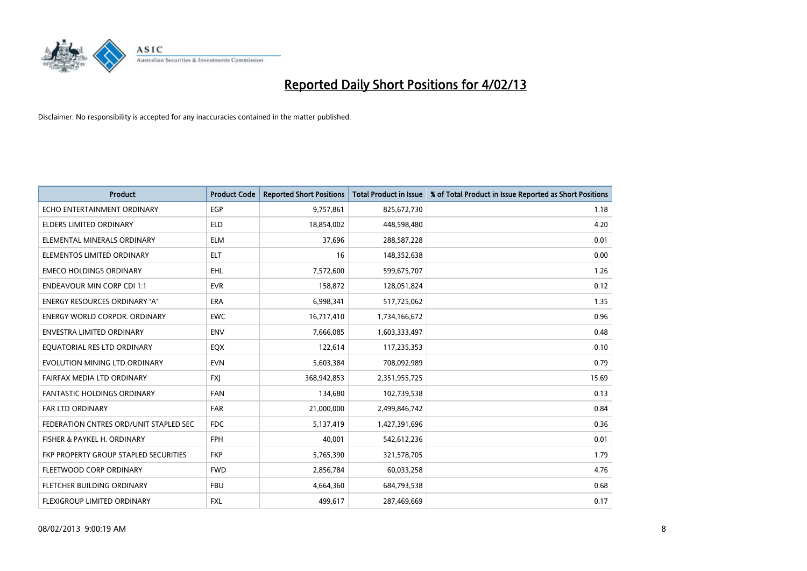

| <b>Product</b>                         | <b>Product Code</b> | <b>Reported Short Positions</b> | <b>Total Product in Issue</b> | % of Total Product in Issue Reported as Short Positions |
|----------------------------------------|---------------------|---------------------------------|-------------------------------|---------------------------------------------------------|
| ECHO ENTERTAINMENT ORDINARY            | <b>EGP</b>          | 9,757,861                       | 825,672,730                   | 1.18                                                    |
| ELDERS LIMITED ORDINARY                | <b>ELD</b>          | 18,854,002                      | 448,598,480                   | 4.20                                                    |
| ELEMENTAL MINERALS ORDINARY            | <b>ELM</b>          | 37,696                          | 288,587,228                   | 0.01                                                    |
| ELEMENTOS LIMITED ORDINARY             | <b>ELT</b>          | 16                              | 148,352,638                   | 0.00                                                    |
| <b>EMECO HOLDINGS ORDINARY</b>         | <b>EHL</b>          | 7,572,600                       | 599,675,707                   | 1.26                                                    |
| <b>ENDEAVOUR MIN CORP CDI 1:1</b>      | <b>EVR</b>          | 158,872                         | 128,051,824                   | 0.12                                                    |
| <b>ENERGY RESOURCES ORDINARY 'A'</b>   | <b>ERA</b>          | 6,998,341                       | 517,725,062                   | 1.35                                                    |
| <b>ENERGY WORLD CORPOR. ORDINARY</b>   | <b>EWC</b>          | 16,717,410                      | 1,734,166,672                 | 0.96                                                    |
| <b>ENVESTRA LIMITED ORDINARY</b>       | <b>ENV</b>          | 7,666,085                       | 1,603,333,497                 | 0.48                                                    |
| EQUATORIAL RES LTD ORDINARY            | EQX                 | 122,614                         | 117,235,353                   | 0.10                                                    |
| EVOLUTION MINING LTD ORDINARY          | <b>EVN</b>          | 5,603,384                       | 708,092,989                   | 0.79                                                    |
| FAIRFAX MEDIA LTD ORDINARY             | <b>FXI</b>          | 368,942,853                     | 2,351,955,725                 | 15.69                                                   |
| <b>FANTASTIC HOLDINGS ORDINARY</b>     | <b>FAN</b>          | 134,680                         | 102,739,538                   | 0.13                                                    |
| <b>FAR LTD ORDINARY</b>                | <b>FAR</b>          | 21,000,000                      | 2,499,846,742                 | 0.84                                                    |
| FEDERATION CNTRES ORD/UNIT STAPLED SEC | <b>FDC</b>          | 5,137,419                       | 1,427,391,696                 | 0.36                                                    |
| FISHER & PAYKEL H. ORDINARY            | <b>FPH</b>          | 40,001                          | 542,612,236                   | 0.01                                                    |
| FKP PROPERTY GROUP STAPLED SECURITIES  | <b>FKP</b>          | 5,765,390                       | 321,578,705                   | 1.79                                                    |
| FLEETWOOD CORP ORDINARY                | <b>FWD</b>          | 2,856,784                       | 60,033,258                    | 4.76                                                    |
| FLETCHER BUILDING ORDINARY             | <b>FBU</b>          | 4,664,360                       | 684,793,538                   | 0.68                                                    |
| FLEXIGROUP LIMITED ORDINARY            | <b>FXL</b>          | 499,617                         | 287,469,669                   | 0.17                                                    |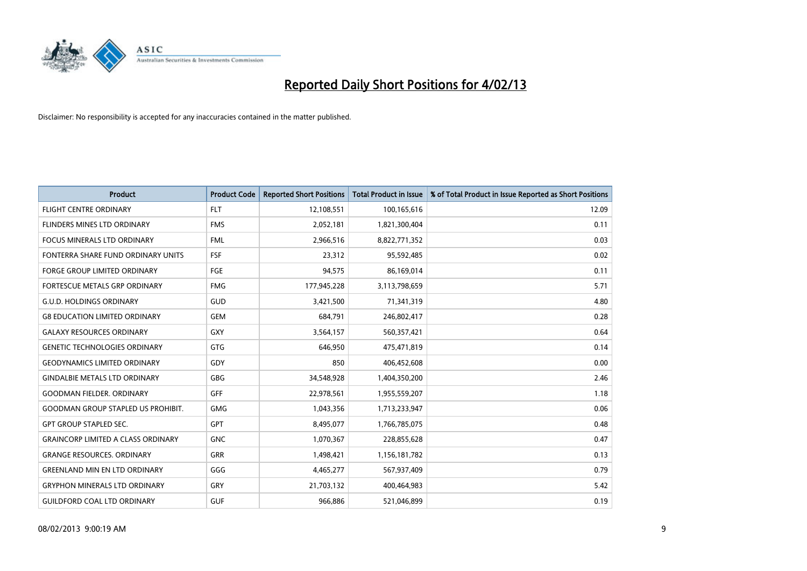

| <b>Product</b>                            | <b>Product Code</b> | <b>Reported Short Positions</b> | <b>Total Product in Issue</b> | % of Total Product in Issue Reported as Short Positions |
|-------------------------------------------|---------------------|---------------------------------|-------------------------------|---------------------------------------------------------|
| <b>FLIGHT CENTRE ORDINARY</b>             | <b>FLT</b>          | 12,108,551                      | 100,165,616                   | 12.09                                                   |
| FLINDERS MINES LTD ORDINARY               | <b>FMS</b>          | 2,052,181                       | 1,821,300,404                 | 0.11                                                    |
| <b>FOCUS MINERALS LTD ORDINARY</b>        | <b>FML</b>          | 2,966,516                       | 8,822,771,352                 | 0.03                                                    |
| FONTERRA SHARE FUND ORDINARY UNITS        | <b>FSF</b>          | 23,312                          | 95,592,485                    | 0.02                                                    |
| <b>FORGE GROUP LIMITED ORDINARY</b>       | FGE                 | 94,575                          | 86,169,014                    | 0.11                                                    |
| FORTESCUE METALS GRP ORDINARY             | <b>FMG</b>          | 177,945,228                     | 3,113,798,659                 | 5.71                                                    |
| <b>G.U.D. HOLDINGS ORDINARY</b>           | GUD                 | 3,421,500                       | 71,341,319                    | 4.80                                                    |
| <b>G8 EDUCATION LIMITED ORDINARY</b>      | <b>GEM</b>          | 684,791                         | 246,802,417                   | 0.28                                                    |
| <b>GALAXY RESOURCES ORDINARY</b>          | <b>GXY</b>          | 3,564,157                       | 560,357,421                   | 0.64                                                    |
| <b>GENETIC TECHNOLOGIES ORDINARY</b>      | <b>GTG</b>          | 646.950                         | 475,471,819                   | 0.14                                                    |
| <b>GEODYNAMICS LIMITED ORDINARY</b>       | GDY                 | 850                             | 406,452,608                   | 0.00                                                    |
| <b>GINDALBIE METALS LTD ORDINARY</b>      | <b>GBG</b>          | 34,548,928                      | 1,404,350,200                 | 2.46                                                    |
| <b>GOODMAN FIELDER, ORDINARY</b>          | GFF                 | 22,978,561                      | 1,955,559,207                 | 1.18                                                    |
| <b>GOODMAN GROUP STAPLED US PROHIBIT.</b> | <b>GMG</b>          | 1,043,356                       | 1,713,233,947                 | 0.06                                                    |
| <b>GPT GROUP STAPLED SEC.</b>             | <b>GPT</b>          | 8,495,077                       | 1,766,785,075                 | 0.48                                                    |
| <b>GRAINCORP LIMITED A CLASS ORDINARY</b> | <b>GNC</b>          | 1,070,367                       | 228,855,628                   | 0.47                                                    |
| <b>GRANGE RESOURCES, ORDINARY</b>         | <b>GRR</b>          | 1,498,421                       | 1,156,181,782                 | 0.13                                                    |
| <b>GREENLAND MIN EN LTD ORDINARY</b>      | GGG                 | 4,465,277                       | 567,937,409                   | 0.79                                                    |
| <b>GRYPHON MINERALS LTD ORDINARY</b>      | GRY                 | 21,703,132                      | 400,464,983                   | 5.42                                                    |
| <b>GUILDFORD COAL LTD ORDINARY</b>        | <b>GUF</b>          | 966,886                         | 521,046,899                   | 0.19                                                    |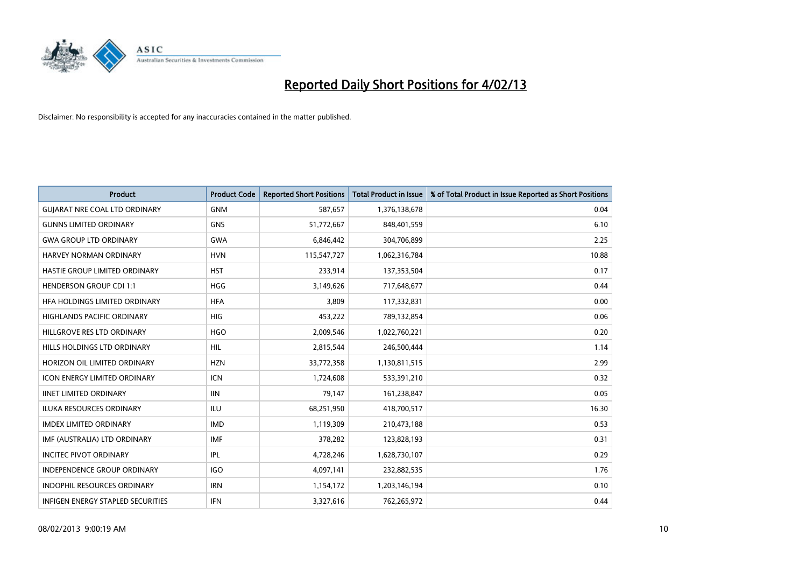

| <b>Product</b>                       | <b>Product Code</b> | <b>Reported Short Positions</b> | <b>Total Product in Issue</b> | % of Total Product in Issue Reported as Short Positions |
|--------------------------------------|---------------------|---------------------------------|-------------------------------|---------------------------------------------------------|
| <b>GUIARAT NRE COAL LTD ORDINARY</b> | <b>GNM</b>          | 587,657                         | 1,376,138,678                 | 0.04                                                    |
| <b>GUNNS LIMITED ORDINARY</b>        | <b>GNS</b>          | 51,772,667                      | 848,401,559                   | 6.10                                                    |
| <b>GWA GROUP LTD ORDINARY</b>        | <b>GWA</b>          | 6,846,442                       | 304,706,899                   | 2.25                                                    |
| HARVEY NORMAN ORDINARY               | <b>HVN</b>          | 115,547,727                     | 1,062,316,784                 | 10.88                                                   |
| HASTIE GROUP LIMITED ORDINARY        | <b>HST</b>          | 233,914                         | 137,353,504                   | 0.17                                                    |
| <b>HENDERSON GROUP CDI 1:1</b>       | <b>HGG</b>          | 3,149,626                       | 717,648,677                   | 0.44                                                    |
| HFA HOLDINGS LIMITED ORDINARY        | <b>HFA</b>          | 3,809                           | 117,332,831                   | 0.00                                                    |
| HIGHLANDS PACIFIC ORDINARY           | <b>HIG</b>          | 453,222                         | 789,132,854                   | 0.06                                                    |
| HILLGROVE RES LTD ORDINARY           | <b>HGO</b>          | 2,009,546                       | 1,022,760,221                 | 0.20                                                    |
| HILLS HOLDINGS LTD ORDINARY          | <b>HIL</b>          | 2,815,544                       | 246,500,444                   | 1.14                                                    |
| HORIZON OIL LIMITED ORDINARY         | <b>HZN</b>          | 33,772,358                      | 1,130,811,515                 | 2.99                                                    |
| <b>ICON ENERGY LIMITED ORDINARY</b>  | <b>ICN</b>          | 1,724,608                       | 533,391,210                   | 0.32                                                    |
| <b>IINET LIMITED ORDINARY</b>        | <b>IIN</b>          | 79,147                          | 161,238,847                   | 0.05                                                    |
| <b>ILUKA RESOURCES ORDINARY</b>      | ILU                 | 68,251,950                      | 418,700,517                   | 16.30                                                   |
| <b>IMDEX LIMITED ORDINARY</b>        | <b>IMD</b>          | 1,119,309                       | 210,473,188                   | 0.53                                                    |
| IMF (AUSTRALIA) LTD ORDINARY         | <b>IMF</b>          | 378,282                         | 123,828,193                   | 0.31                                                    |
| <b>INCITEC PIVOT ORDINARY</b>        | <b>IPL</b>          | 4,728,246                       | 1,628,730,107                 | 0.29                                                    |
| INDEPENDENCE GROUP ORDINARY          | <b>IGO</b>          | 4,097,141                       | 232,882,535                   | 1.76                                                    |
| <b>INDOPHIL RESOURCES ORDINARY</b>   | <b>IRN</b>          | 1,154,172                       | 1,203,146,194                 | 0.10                                                    |
| INFIGEN ENERGY STAPLED SECURITIES    | <b>IFN</b>          | 3,327,616                       | 762,265,972                   | 0.44                                                    |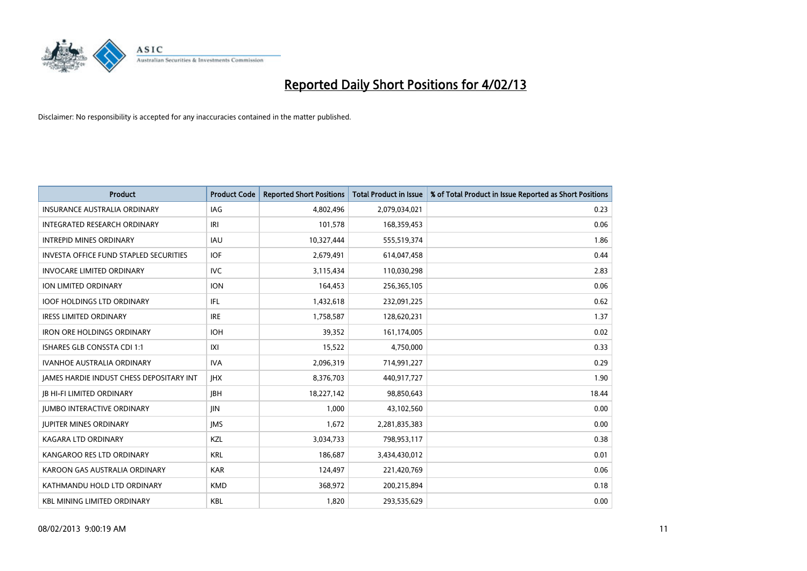

| <b>Product</b>                                  | <b>Product Code</b> | <b>Reported Short Positions</b> | <b>Total Product in Issue</b> | % of Total Product in Issue Reported as Short Positions |
|-------------------------------------------------|---------------------|---------------------------------|-------------------------------|---------------------------------------------------------|
| <b>INSURANCE AUSTRALIA ORDINARY</b>             | <b>IAG</b>          | 4,802,496                       | 2,079,034,021                 | 0.23                                                    |
| INTEGRATED RESEARCH ORDINARY                    | IRI                 | 101,578                         | 168,359,453                   | 0.06                                                    |
| <b>INTREPID MINES ORDINARY</b>                  | <b>IAU</b>          | 10,327,444                      | 555,519,374                   | 1.86                                                    |
| INVESTA OFFICE FUND STAPLED SECURITIES          | <b>IOF</b>          | 2,679,491                       | 614,047,458                   | 0.44                                                    |
| <b>INVOCARE LIMITED ORDINARY</b>                | <b>IVC</b>          | 3,115,434                       | 110,030,298                   | 2.83                                                    |
| <b>ION LIMITED ORDINARY</b>                     | <b>ION</b>          | 164,453                         | 256,365,105                   | 0.06                                                    |
| <b>IOOF HOLDINGS LTD ORDINARY</b>               | IFL                 | 1,432,618                       | 232,091,225                   | 0.62                                                    |
| <b>IRESS LIMITED ORDINARY</b>                   | <b>IRE</b>          | 1,758,587                       | 128,620,231                   | 1.37                                                    |
| <b>IRON ORE HOLDINGS ORDINARY</b>               | <b>IOH</b>          | 39,352                          | 161,174,005                   | 0.02                                                    |
| <b>ISHARES GLB CONSSTA CDI 1:1</b>              | X                   | 15,522                          | 4,750,000                     | 0.33                                                    |
| <b>IVANHOE AUSTRALIA ORDINARY</b>               | <b>IVA</b>          | 2,096,319                       | 714,991,227                   | 0.29                                                    |
| <b>IAMES HARDIE INDUST CHESS DEPOSITARY INT</b> | <b>IHX</b>          | 8,376,703                       | 440,917,727                   | 1.90                                                    |
| <b>JB HI-FI LIMITED ORDINARY</b>                | <b>IBH</b>          | 18,227,142                      | 98,850,643                    | 18.44                                                   |
| <b>JUMBO INTERACTIVE ORDINARY</b>               | <b>JIN</b>          | 1,000                           | 43,102,560                    | 0.00                                                    |
| <b>JUPITER MINES ORDINARY</b>                   | <b>IMS</b>          | 1,672                           | 2,281,835,383                 | 0.00                                                    |
| KAGARA LTD ORDINARY                             | <b>KZL</b>          | 3,034,733                       | 798,953,117                   | 0.38                                                    |
| KANGAROO RES LTD ORDINARY                       | <b>KRL</b>          | 186,687                         | 3,434,430,012                 | 0.01                                                    |
| KAROON GAS AUSTRALIA ORDINARY                   | <b>KAR</b>          | 124,497                         | 221,420,769                   | 0.06                                                    |
| KATHMANDU HOLD LTD ORDINARY                     | <b>KMD</b>          | 368,972                         | 200,215,894                   | 0.18                                                    |
| <b>KBL MINING LIMITED ORDINARY</b>              | <b>KBL</b>          | 1,820                           | 293,535,629                   | 0.00                                                    |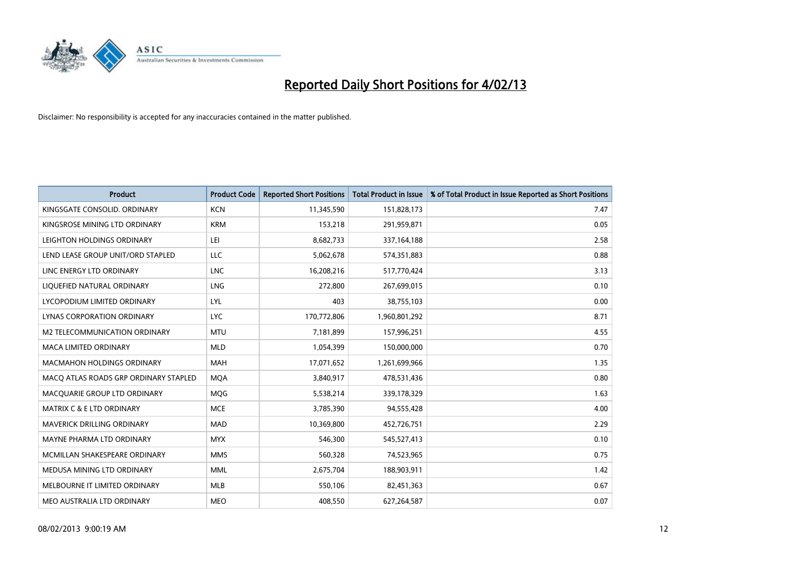

| <b>Product</b>                        | <b>Product Code</b> | <b>Reported Short Positions</b> | <b>Total Product in Issue</b> | % of Total Product in Issue Reported as Short Positions |
|---------------------------------------|---------------------|---------------------------------|-------------------------------|---------------------------------------------------------|
| KINGSGATE CONSOLID. ORDINARY          | <b>KCN</b>          | 11,345,590                      | 151,828,173                   | 7.47                                                    |
| KINGSROSE MINING LTD ORDINARY         | <b>KRM</b>          | 153,218                         | 291,959,871                   | 0.05                                                    |
| LEIGHTON HOLDINGS ORDINARY            | LEI                 | 8,682,733                       | 337, 164, 188                 | 2.58                                                    |
| LEND LEASE GROUP UNIT/ORD STAPLED     | LLC                 | 5,062,678                       | 574,351,883                   | 0.88                                                    |
| LINC ENERGY LTD ORDINARY              | <b>LNC</b>          | 16,208,216                      | 517,770,424                   | 3.13                                                    |
| LIQUEFIED NATURAL ORDINARY            | LNG                 | 272,800                         | 267,699,015                   | 0.10                                                    |
| LYCOPODIUM LIMITED ORDINARY           | <b>LYL</b>          | 403                             | 38,755,103                    | 0.00                                                    |
| LYNAS CORPORATION ORDINARY            | <b>LYC</b>          | 170,772,806                     | 1,960,801,292                 | 8.71                                                    |
| <b>M2 TELECOMMUNICATION ORDINARY</b>  | <b>MTU</b>          | 7,181,899                       | 157,996,251                   | 4.55                                                    |
| <b>MACA LIMITED ORDINARY</b>          | <b>MLD</b>          | 1,054,399                       | 150,000,000                   | 0.70                                                    |
| MACMAHON HOLDINGS ORDINARY            | <b>MAH</b>          | 17,071,652                      | 1,261,699,966                 | 1.35                                                    |
| MACQ ATLAS ROADS GRP ORDINARY STAPLED | <b>MQA</b>          | 3,840,917                       | 478,531,436                   | 0.80                                                    |
| MACQUARIE GROUP LTD ORDINARY          | <b>MOG</b>          | 5,538,214                       | 339,178,329                   | 1.63                                                    |
| <b>MATRIX C &amp; E LTD ORDINARY</b>  | <b>MCE</b>          | 3,785,390                       | 94,555,428                    | 4.00                                                    |
| MAVERICK DRILLING ORDINARY            | <b>MAD</b>          | 10,369,800                      | 452,726,751                   | 2.29                                                    |
| MAYNE PHARMA LTD ORDINARY             | <b>MYX</b>          | 546,300                         | 545,527,413                   | 0.10                                                    |
| MCMILLAN SHAKESPEARE ORDINARY         | <b>MMS</b>          | 560,328                         | 74,523,965                    | 0.75                                                    |
| MEDUSA MINING LTD ORDINARY            | <b>MML</b>          | 2,675,704                       | 188,903,911                   | 1.42                                                    |
| MELBOURNE IT LIMITED ORDINARY         | <b>MLB</b>          | 550,106                         | 82,451,363                    | 0.67                                                    |
| MEO AUSTRALIA LTD ORDINARY            | <b>MEO</b>          | 408,550                         | 627,264,587                   | 0.07                                                    |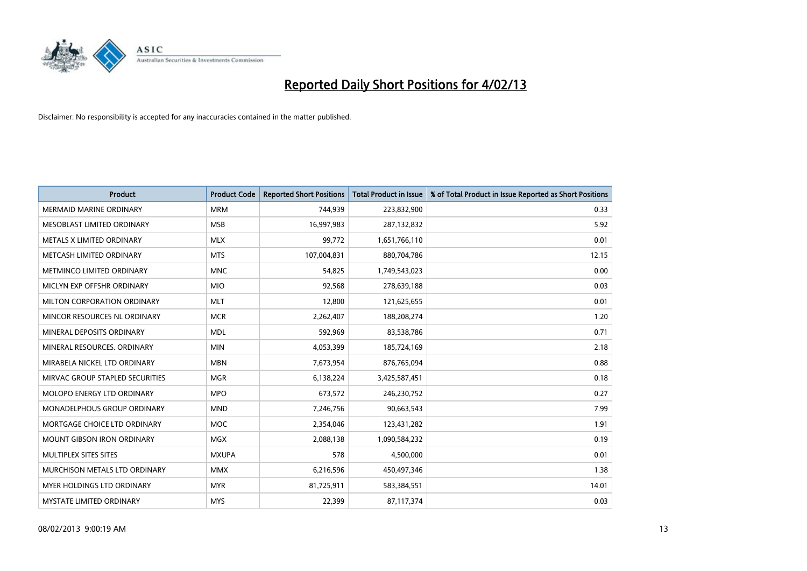

| <b>Product</b>                     | <b>Product Code</b> | <b>Reported Short Positions</b> | <b>Total Product in Issue</b> | % of Total Product in Issue Reported as Short Positions |
|------------------------------------|---------------------|---------------------------------|-------------------------------|---------------------------------------------------------|
| <b>MERMAID MARINE ORDINARY</b>     | <b>MRM</b>          | 744,939                         | 223,832,900                   | 0.33                                                    |
| MESOBLAST LIMITED ORDINARY         | <b>MSB</b>          | 16,997,983                      | 287,132,832                   | 5.92                                                    |
| METALS X LIMITED ORDINARY          | <b>MLX</b>          | 99,772                          | 1,651,766,110                 | 0.01                                                    |
| METCASH LIMITED ORDINARY           | <b>MTS</b>          | 107,004,831                     | 880,704,786                   | 12.15                                                   |
| METMINCO LIMITED ORDINARY          | <b>MNC</b>          | 54,825                          | 1,749,543,023                 | 0.00                                                    |
| MICLYN EXP OFFSHR ORDINARY         | <b>MIO</b>          | 92,568                          | 278,639,188                   | 0.03                                                    |
| <b>MILTON CORPORATION ORDINARY</b> | <b>MLT</b>          | 12,800                          | 121,625,655                   | 0.01                                                    |
| MINCOR RESOURCES NL ORDINARY       | <b>MCR</b>          | 2,262,407                       | 188,208,274                   | 1.20                                                    |
| MINERAL DEPOSITS ORDINARY          | <b>MDL</b>          | 592,969                         | 83,538,786                    | 0.71                                                    |
| MINERAL RESOURCES, ORDINARY        | <b>MIN</b>          | 4,053,399                       | 185,724,169                   | 2.18                                                    |
| MIRABELA NICKEL LTD ORDINARY       | <b>MBN</b>          | 7,673,954                       | 876,765,094                   | 0.88                                                    |
| MIRVAC GROUP STAPLED SECURITIES    | <b>MGR</b>          | 6,138,224                       | 3,425,587,451                 | 0.18                                                    |
| MOLOPO ENERGY LTD ORDINARY         | <b>MPO</b>          | 673,572                         | 246,230,752                   | 0.27                                                    |
| MONADELPHOUS GROUP ORDINARY        | <b>MND</b>          | 7,246,756                       | 90,663,543                    | 7.99                                                    |
| MORTGAGE CHOICE LTD ORDINARY       | <b>MOC</b>          | 2,354,046                       | 123,431,282                   | 1.91                                                    |
| MOUNT GIBSON IRON ORDINARY         | <b>MGX</b>          | 2,088,138                       | 1,090,584,232                 | 0.19                                                    |
| MULTIPLEX SITES SITES              | <b>MXUPA</b>        | 578                             | 4,500,000                     | 0.01                                                    |
| MURCHISON METALS LTD ORDINARY      | <b>MMX</b>          | 6,216,596                       | 450,497,346                   | 1.38                                                    |
| <b>MYER HOLDINGS LTD ORDINARY</b>  | <b>MYR</b>          | 81,725,911                      | 583,384,551                   | 14.01                                                   |
| MYSTATE LIMITED ORDINARY           | <b>MYS</b>          | 22,399                          | 87,117,374                    | 0.03                                                    |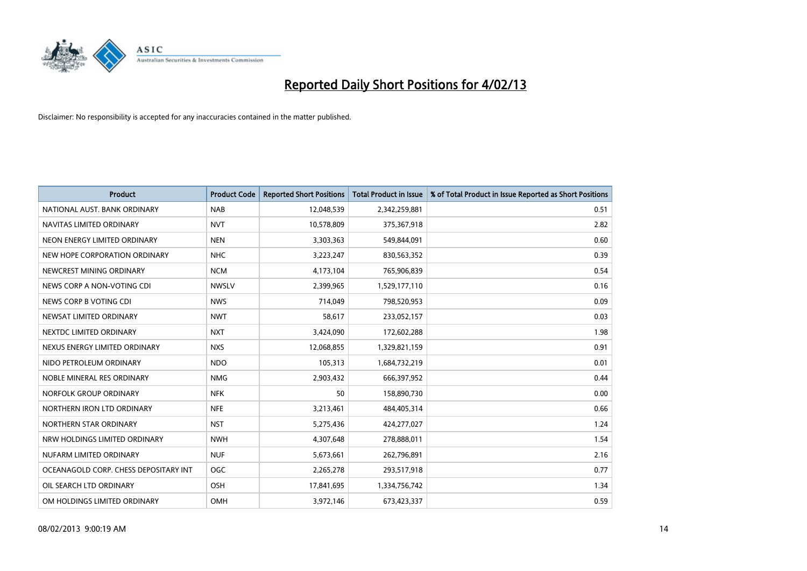

| <b>Product</b>                        | <b>Product Code</b> | <b>Reported Short Positions</b> | <b>Total Product in Issue</b> | % of Total Product in Issue Reported as Short Positions |
|---------------------------------------|---------------------|---------------------------------|-------------------------------|---------------------------------------------------------|
| NATIONAL AUST, BANK ORDINARY          | <b>NAB</b>          | 12,048,539                      | 2,342,259,881                 | 0.51                                                    |
| NAVITAS LIMITED ORDINARY              | <b>NVT</b>          | 10,578,809                      | 375,367,918                   | 2.82                                                    |
| NEON ENERGY LIMITED ORDINARY          | <b>NEN</b>          | 3,303,363                       | 549,844,091                   | 0.60                                                    |
| NEW HOPE CORPORATION ORDINARY         | <b>NHC</b>          | 3,223,247                       | 830,563,352                   | 0.39                                                    |
| NEWCREST MINING ORDINARY              | <b>NCM</b>          | 4,173,104                       | 765,906,839                   | 0.54                                                    |
| NEWS CORP A NON-VOTING CDI            | <b>NWSLV</b>        | 2,399,965                       | 1,529,177,110                 | 0.16                                                    |
| NEWS CORP B VOTING CDI                | <b>NWS</b>          | 714.049                         | 798,520,953                   | 0.09                                                    |
| NEWSAT LIMITED ORDINARY               | <b>NWT</b>          | 58,617                          | 233,052,157                   | 0.03                                                    |
| NEXTDC LIMITED ORDINARY               | <b>NXT</b>          | 3,424,090                       | 172,602,288                   | 1.98                                                    |
| NEXUS ENERGY LIMITED ORDINARY         | <b>NXS</b>          | 12,068,855                      | 1,329,821,159                 | 0.91                                                    |
| NIDO PETROLEUM ORDINARY               | <b>NDO</b>          | 105,313                         | 1,684,732,219                 | 0.01                                                    |
| NOBLE MINERAL RES ORDINARY            | <b>NMG</b>          | 2,903,432                       | 666,397,952                   | 0.44                                                    |
| NORFOLK GROUP ORDINARY                | <b>NFK</b>          | 50                              | 158,890,730                   | 0.00                                                    |
| NORTHERN IRON LTD ORDINARY            | <b>NFE</b>          | 3,213,461                       | 484,405,314                   | 0.66                                                    |
| NORTHERN STAR ORDINARY                | <b>NST</b>          | 5,275,436                       | 424,277,027                   | 1.24                                                    |
| NRW HOLDINGS LIMITED ORDINARY         | <b>NWH</b>          | 4,307,648                       | 278,888,011                   | 1.54                                                    |
| NUFARM LIMITED ORDINARY               | <b>NUF</b>          | 5,673,661                       | 262,796,891                   | 2.16                                                    |
| OCEANAGOLD CORP. CHESS DEPOSITARY INT | <b>OGC</b>          | 2,265,278                       | 293,517,918                   | 0.77                                                    |
| OIL SEARCH LTD ORDINARY               | OSH                 | 17,841,695                      | 1,334,756,742                 | 1.34                                                    |
| OM HOLDINGS LIMITED ORDINARY          | OMH                 | 3,972,146                       | 673,423,337                   | 0.59                                                    |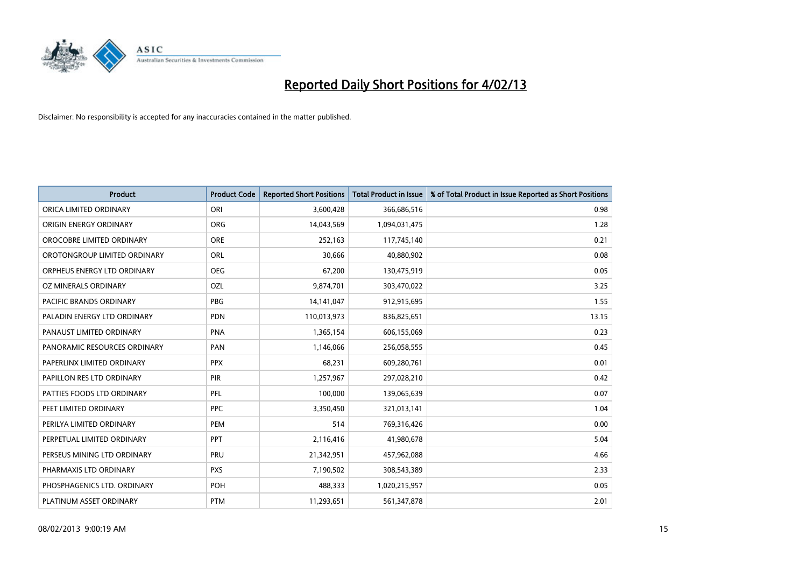

| <b>Product</b>               | <b>Product Code</b> | <b>Reported Short Positions</b> | <b>Total Product in Issue</b> | % of Total Product in Issue Reported as Short Positions |
|------------------------------|---------------------|---------------------------------|-------------------------------|---------------------------------------------------------|
| ORICA LIMITED ORDINARY       | ORI                 | 3,600,428                       | 366,686,516                   | 0.98                                                    |
| ORIGIN ENERGY ORDINARY       | <b>ORG</b>          | 14,043,569                      | 1,094,031,475                 | 1.28                                                    |
| OROCOBRE LIMITED ORDINARY    | <b>ORE</b>          | 252,163                         | 117,745,140                   | 0.21                                                    |
| OROTONGROUP LIMITED ORDINARY | <b>ORL</b>          | 30,666                          | 40,880,902                    | 0.08                                                    |
| ORPHEUS ENERGY LTD ORDINARY  | <b>OEG</b>          | 67,200                          | 130,475,919                   | 0.05                                                    |
| OZ MINERALS ORDINARY         | OZL                 | 9,874,701                       | 303,470,022                   | 3.25                                                    |
| PACIFIC BRANDS ORDINARY      | <b>PBG</b>          | 14,141,047                      | 912,915,695                   | 1.55                                                    |
| PALADIN ENERGY LTD ORDINARY  | <b>PDN</b>          | 110,013,973                     | 836,825,651                   | 13.15                                                   |
| PANAUST LIMITED ORDINARY     | <b>PNA</b>          | 1,365,154                       | 606,155,069                   | 0.23                                                    |
| PANORAMIC RESOURCES ORDINARY | PAN                 | 1,146,066                       | 256,058,555                   | 0.45                                                    |
| PAPERLINX LIMITED ORDINARY   | <b>PPX</b>          | 68,231                          | 609,280,761                   | 0.01                                                    |
| PAPILLON RES LTD ORDINARY    | <b>PIR</b>          | 1,257,967                       | 297,028,210                   | 0.42                                                    |
| PATTIES FOODS LTD ORDINARY   | PFL                 | 100,000                         | 139,065,639                   | 0.07                                                    |
| PEET LIMITED ORDINARY        | <b>PPC</b>          | 3,350,450                       | 321,013,141                   | 1.04                                                    |
| PERILYA LIMITED ORDINARY     | PEM                 | 514                             | 769,316,426                   | 0.00                                                    |
| PERPETUAL LIMITED ORDINARY   | <b>PPT</b>          | 2,116,416                       | 41,980,678                    | 5.04                                                    |
| PERSEUS MINING LTD ORDINARY  | PRU                 | 21,342,951                      | 457,962,088                   | 4.66                                                    |
| PHARMAXIS LTD ORDINARY       | <b>PXS</b>          | 7,190,502                       | 308,543,389                   | 2.33                                                    |
| PHOSPHAGENICS LTD. ORDINARY  | POH                 | 488,333                         | 1,020,215,957                 | 0.05                                                    |
| PLATINUM ASSET ORDINARY      | <b>PTM</b>          | 11,293,651                      | 561,347,878                   | 2.01                                                    |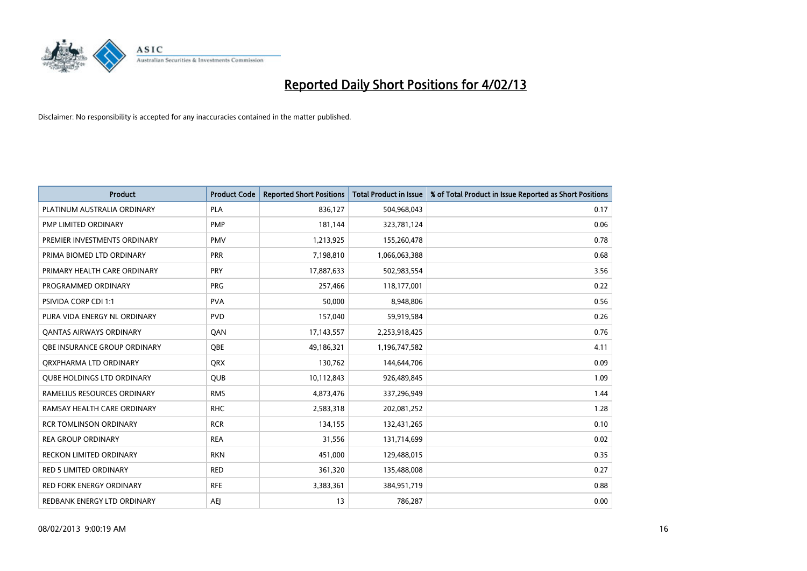

| <b>Product</b>                    | <b>Product Code</b> | <b>Reported Short Positions</b> | <b>Total Product in Issue</b> | % of Total Product in Issue Reported as Short Positions |
|-----------------------------------|---------------------|---------------------------------|-------------------------------|---------------------------------------------------------|
| PLATINUM AUSTRALIA ORDINARY       | <b>PLA</b>          | 836,127                         | 504,968,043                   | 0.17                                                    |
| PMP LIMITED ORDINARY              | <b>PMP</b>          | 181,144                         | 323,781,124                   | 0.06                                                    |
| PREMIER INVESTMENTS ORDINARY      | <b>PMV</b>          | 1,213,925                       | 155,260,478                   | 0.78                                                    |
| PRIMA BIOMED LTD ORDINARY         | <b>PRR</b>          | 7,198,810                       | 1,066,063,388                 | 0.68                                                    |
| PRIMARY HEALTH CARE ORDINARY      | <b>PRY</b>          | 17,887,633                      | 502,983,554                   | 3.56                                                    |
| PROGRAMMED ORDINARY               | <b>PRG</b>          | 257,466                         | 118,177,001                   | 0.22                                                    |
| PSIVIDA CORP CDI 1:1              | <b>PVA</b>          | 50,000                          | 8,948,806                     | 0.56                                                    |
| PURA VIDA ENERGY NL ORDINARY      | <b>PVD</b>          | 157,040                         | 59,919,584                    | 0.26                                                    |
| <b>QANTAS AIRWAYS ORDINARY</b>    | QAN                 | 17,143,557                      | 2,253,918,425                 | 0.76                                                    |
| OBE INSURANCE GROUP ORDINARY      | <b>OBE</b>          | 49,186,321                      | 1,196,747,582                 | 4.11                                                    |
| ORXPHARMA LTD ORDINARY            | <b>QRX</b>          | 130,762                         | 144,644,706                   | 0.09                                                    |
| <b>QUBE HOLDINGS LTD ORDINARY</b> | QUB                 | 10,112,843                      | 926,489,845                   | 1.09                                                    |
| RAMELIUS RESOURCES ORDINARY       | <b>RMS</b>          | 4,873,476                       | 337,296,949                   | 1.44                                                    |
| RAMSAY HEALTH CARE ORDINARY       | <b>RHC</b>          | 2,583,318                       | 202,081,252                   | 1.28                                                    |
| <b>RCR TOMLINSON ORDINARY</b>     | <b>RCR</b>          | 134,155                         | 132,431,265                   | 0.10                                                    |
| <b>REA GROUP ORDINARY</b>         | <b>REA</b>          | 31,556                          | 131,714,699                   | 0.02                                                    |
| RECKON LIMITED ORDINARY           | <b>RKN</b>          | 451,000                         | 129,488,015                   | 0.35                                                    |
| RED 5 LIMITED ORDINARY            | <b>RED</b>          | 361,320                         | 135,488,008                   | 0.27                                                    |
| <b>RED FORK ENERGY ORDINARY</b>   | <b>RFE</b>          | 3,383,361                       | 384,951,719                   | 0.88                                                    |
| REDBANK ENERGY LTD ORDINARY       | AEJ                 | 13                              | 786,287                       | 0.00                                                    |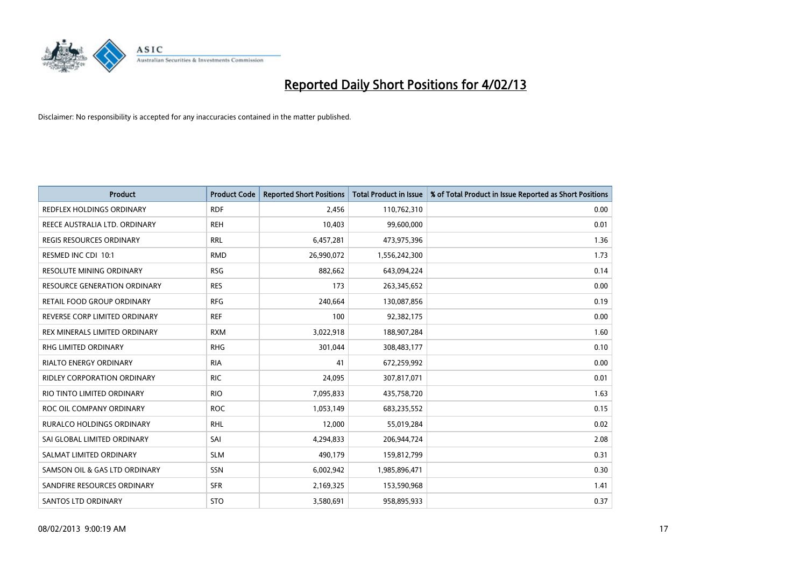

| <b>Product</b>                      | <b>Product Code</b> | <b>Reported Short Positions</b> | <b>Total Product in Issue</b> | % of Total Product in Issue Reported as Short Positions |
|-------------------------------------|---------------------|---------------------------------|-------------------------------|---------------------------------------------------------|
| REDFLEX HOLDINGS ORDINARY           | <b>RDF</b>          | 2.456                           | 110,762,310                   | 0.00                                                    |
| REECE AUSTRALIA LTD. ORDINARY       | <b>REH</b>          | 10,403                          | 99,600,000                    | 0.01                                                    |
| <b>REGIS RESOURCES ORDINARY</b>     | <b>RRL</b>          | 6,457,281                       | 473,975,396                   | 1.36                                                    |
| RESMED INC CDI 10:1                 | <b>RMD</b>          | 26,990,072                      | 1,556,242,300                 | 1.73                                                    |
| <b>RESOLUTE MINING ORDINARY</b>     | <b>RSG</b>          | 882,662                         | 643,094,224                   | 0.14                                                    |
| <b>RESOURCE GENERATION ORDINARY</b> | <b>RES</b>          | 173                             | 263,345,652                   | 0.00                                                    |
| RETAIL FOOD GROUP ORDINARY          | <b>RFG</b>          | 240,664                         | 130,087,856                   | 0.19                                                    |
| REVERSE CORP LIMITED ORDINARY       | <b>REF</b>          | 100                             | 92,382,175                    | 0.00                                                    |
| REX MINERALS LIMITED ORDINARY       | <b>RXM</b>          | 3,022,918                       | 188,907,284                   | 1.60                                                    |
| <b>RHG LIMITED ORDINARY</b>         | <b>RHG</b>          | 301,044                         | 308,483,177                   | 0.10                                                    |
| RIALTO ENERGY ORDINARY              | <b>RIA</b>          | 41                              | 672,259,992                   | 0.00                                                    |
| <b>RIDLEY CORPORATION ORDINARY</b>  | <b>RIC</b>          | 24,095                          | 307,817,071                   | 0.01                                                    |
| RIO TINTO LIMITED ORDINARY          | <b>RIO</b>          | 7,095,833                       | 435,758,720                   | 1.63                                                    |
| ROC OIL COMPANY ORDINARY            | <b>ROC</b>          | 1,053,149                       | 683,235,552                   | 0.15                                                    |
| <b>RURALCO HOLDINGS ORDINARY</b>    | <b>RHL</b>          | 12,000                          | 55,019,284                    | 0.02                                                    |
| SAI GLOBAL LIMITED ORDINARY         | SAI                 | 4,294,833                       | 206,944,724                   | 2.08                                                    |
| SALMAT LIMITED ORDINARY             | <b>SLM</b>          | 490,179                         | 159,812,799                   | 0.31                                                    |
| SAMSON OIL & GAS LTD ORDINARY       | <b>SSN</b>          | 6,002,942                       | 1,985,896,471                 | 0.30                                                    |
| SANDFIRE RESOURCES ORDINARY         | <b>SFR</b>          | 2,169,325                       | 153,590,968                   | 1.41                                                    |
| <b>SANTOS LTD ORDINARY</b>          | <b>STO</b>          | 3,580,691                       | 958,895,933                   | 0.37                                                    |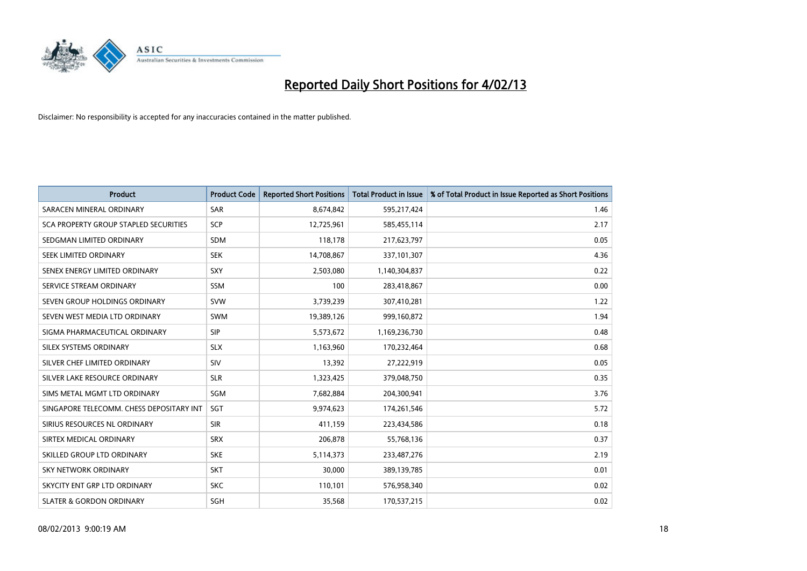

| <b>Product</b>                               | <b>Product Code</b> | <b>Reported Short Positions</b> | <b>Total Product in Issue</b> | % of Total Product in Issue Reported as Short Positions |
|----------------------------------------------|---------------------|---------------------------------|-------------------------------|---------------------------------------------------------|
| SARACEN MINERAL ORDINARY                     | <b>SAR</b>          | 8,674,842                       | 595,217,424                   | 1.46                                                    |
| <b>SCA PROPERTY GROUP STAPLED SECURITIES</b> | <b>SCP</b>          | 12,725,961                      | 585,455,114                   | 2.17                                                    |
| SEDGMAN LIMITED ORDINARY                     | <b>SDM</b>          | 118,178                         | 217,623,797                   | 0.05                                                    |
| SEEK LIMITED ORDINARY                        | <b>SEK</b>          | 14,708,867                      | 337,101,307                   | 4.36                                                    |
| SENEX ENERGY LIMITED ORDINARY                | SXY                 | 2,503,080                       | 1,140,304,837                 | 0.22                                                    |
| SERVICE STREAM ORDINARY                      | <b>SSM</b>          | 100                             | 283,418,867                   | 0.00                                                    |
| SEVEN GROUP HOLDINGS ORDINARY                | <b>SVW</b>          | 3,739,239                       | 307,410,281                   | 1.22                                                    |
| SEVEN WEST MEDIA LTD ORDINARY                | <b>SWM</b>          | 19,389,126                      | 999,160,872                   | 1.94                                                    |
| SIGMA PHARMACEUTICAL ORDINARY                | SIP                 | 5,573,672                       | 1,169,236,730                 | 0.48                                                    |
| SILEX SYSTEMS ORDINARY                       | <b>SLX</b>          | 1,163,960                       | 170,232,464                   | 0.68                                                    |
| SILVER CHEF LIMITED ORDINARY                 | SIV                 | 13,392                          | 27,222,919                    | 0.05                                                    |
| SILVER LAKE RESOURCE ORDINARY                | <b>SLR</b>          | 1,323,425                       | 379,048,750                   | 0.35                                                    |
| SIMS METAL MGMT LTD ORDINARY                 | SGM                 | 7,682,884                       | 204,300,941                   | 3.76                                                    |
| SINGAPORE TELECOMM. CHESS DEPOSITARY INT     | <b>SGT</b>          | 9,974,623                       | 174,261,546                   | 5.72                                                    |
| SIRIUS RESOURCES NL ORDINARY                 | <b>SIR</b>          | 411,159                         | 223,434,586                   | 0.18                                                    |
| SIRTEX MEDICAL ORDINARY                      | <b>SRX</b>          | 206,878                         | 55,768,136                    | 0.37                                                    |
| SKILLED GROUP LTD ORDINARY                   | <b>SKE</b>          | 5,114,373                       | 233,487,276                   | 2.19                                                    |
| <b>SKY NETWORK ORDINARY</b>                  | <b>SKT</b>          | 30,000                          | 389,139,785                   | 0.01                                                    |
| SKYCITY ENT GRP LTD ORDINARY                 | <b>SKC</b>          | 110,101                         | 576,958,340                   | 0.02                                                    |
| <b>SLATER &amp; GORDON ORDINARY</b>          | <b>SGH</b>          | 35,568                          | 170,537,215                   | 0.02                                                    |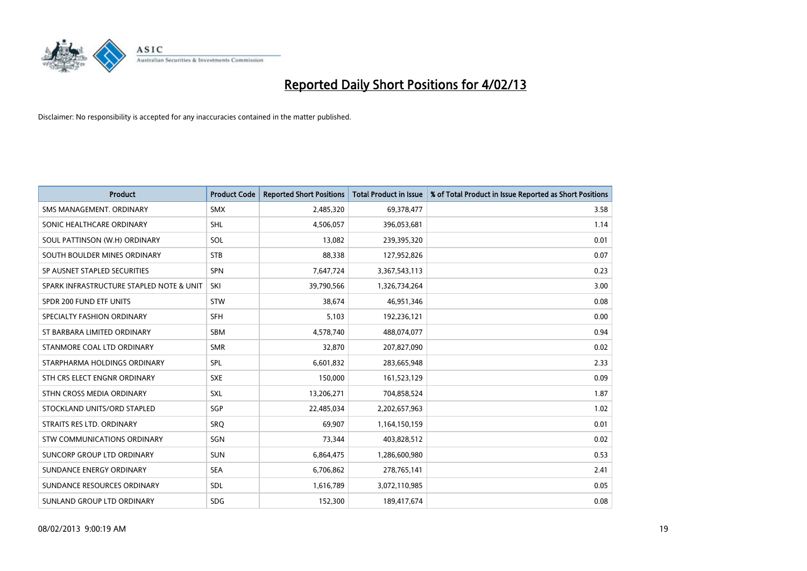

| <b>Product</b>                           | <b>Product Code</b> | <b>Reported Short Positions</b> | <b>Total Product in Issue</b> | % of Total Product in Issue Reported as Short Positions |
|------------------------------------------|---------------------|---------------------------------|-------------------------------|---------------------------------------------------------|
| SMS MANAGEMENT, ORDINARY                 | <b>SMX</b>          | 2,485,320                       | 69,378,477                    | 3.58                                                    |
| SONIC HEALTHCARE ORDINARY                | <b>SHL</b>          | 4,506,057                       | 396,053,681                   | 1.14                                                    |
| SOUL PATTINSON (W.H) ORDINARY            | SOL                 | 13,082                          | 239,395,320                   | 0.01                                                    |
| SOUTH BOULDER MINES ORDINARY             | <b>STB</b>          | 88,338                          | 127,952,826                   | 0.07                                                    |
| SP AUSNET STAPLED SECURITIES             | <b>SPN</b>          | 7,647,724                       | 3,367,543,113                 | 0.23                                                    |
| SPARK INFRASTRUCTURE STAPLED NOTE & UNIT | SKI                 | 39,790,566                      | 1,326,734,264                 | 3.00                                                    |
| SPDR 200 FUND ETF UNITS                  | <b>STW</b>          | 38.674                          | 46,951,346                    | 0.08                                                    |
| SPECIALTY FASHION ORDINARY               | <b>SFH</b>          | 5,103                           | 192,236,121                   | 0.00                                                    |
| ST BARBARA LIMITED ORDINARY              | <b>SBM</b>          | 4,578,740                       | 488,074,077                   | 0.94                                                    |
| STANMORE COAL LTD ORDINARY               | <b>SMR</b>          | 32,870                          | 207,827,090                   | 0.02                                                    |
| STARPHARMA HOLDINGS ORDINARY             | SPL                 | 6,601,832                       | 283,665,948                   | 2.33                                                    |
| STH CRS ELECT ENGNR ORDINARY             | <b>SXE</b>          | 150,000                         | 161,523,129                   | 0.09                                                    |
| STHN CROSS MEDIA ORDINARY                | <b>SXL</b>          | 13,206,271                      | 704,858,524                   | 1.87                                                    |
| STOCKLAND UNITS/ORD STAPLED              | SGP                 | 22,485,034                      | 2,202,657,963                 | 1.02                                                    |
| STRAITS RES LTD. ORDINARY                | SRQ                 | 69,907                          | 1,164,150,159                 | 0.01                                                    |
| <b>STW COMMUNICATIONS ORDINARY</b>       | SGN                 | 73,344                          | 403,828,512                   | 0.02                                                    |
| SUNCORP GROUP LTD ORDINARY               | <b>SUN</b>          | 6,864,475                       | 1,286,600,980                 | 0.53                                                    |
| SUNDANCE ENERGY ORDINARY                 | <b>SEA</b>          | 6,706,862                       | 278,765,141                   | 2.41                                                    |
| SUNDANCE RESOURCES ORDINARY              | <b>SDL</b>          | 1,616,789                       | 3,072,110,985                 | 0.05                                                    |
| SUNLAND GROUP LTD ORDINARY               | <b>SDG</b>          | 152,300                         | 189,417,674                   | 0.08                                                    |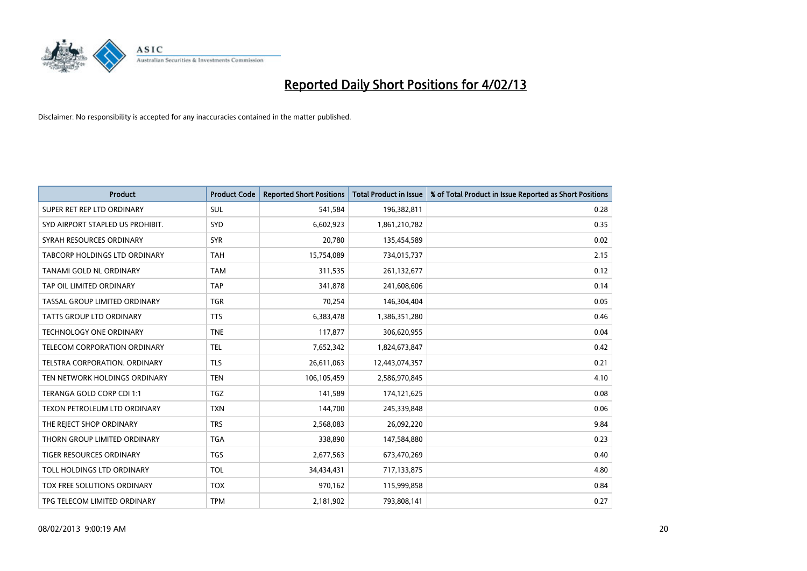

| <b>Product</b>                   | <b>Product Code</b> | <b>Reported Short Positions</b> | <b>Total Product in Issue</b> | % of Total Product in Issue Reported as Short Positions |
|----------------------------------|---------------------|---------------------------------|-------------------------------|---------------------------------------------------------|
| SUPER RET REP LTD ORDINARY       | <b>SUL</b>          | 541,584                         | 196,382,811                   | 0.28                                                    |
| SYD AIRPORT STAPLED US PROHIBIT. | <b>SYD</b>          | 6,602,923                       | 1,861,210,782                 | 0.35                                                    |
| SYRAH RESOURCES ORDINARY         | <b>SYR</b>          | 20,780                          | 135,454,589                   | 0.02                                                    |
| TABCORP HOLDINGS LTD ORDINARY    | <b>TAH</b>          | 15,754,089                      | 734,015,737                   | 2.15                                                    |
| TANAMI GOLD NL ORDINARY          | <b>TAM</b>          | 311,535                         | 261,132,677                   | 0.12                                                    |
| TAP OIL LIMITED ORDINARY         | <b>TAP</b>          | 341,878                         | 241,608,606                   | 0.14                                                    |
| TASSAL GROUP LIMITED ORDINARY    | <b>TGR</b>          | 70,254                          | 146,304,404                   | 0.05                                                    |
| <b>TATTS GROUP LTD ORDINARY</b>  | <b>TTS</b>          | 6,383,478                       | 1,386,351,280                 | 0.46                                                    |
| TECHNOLOGY ONE ORDINARY          | <b>TNE</b>          | 117,877                         | 306,620,955                   | 0.04                                                    |
| TELECOM CORPORATION ORDINARY     | <b>TEL</b>          | 7,652,342                       | 1,824,673,847                 | 0.42                                                    |
| TELSTRA CORPORATION. ORDINARY    | <b>TLS</b>          | 26,611,063                      | 12,443,074,357                | 0.21                                                    |
| TEN NETWORK HOLDINGS ORDINARY    | <b>TEN</b>          | 106,105,459                     | 2,586,970,845                 | 4.10                                                    |
| TERANGA GOLD CORP CDI 1:1        | <b>TGZ</b>          | 141,589                         | 174,121,625                   | 0.08                                                    |
| TEXON PETROLEUM LTD ORDINARY     | <b>TXN</b>          | 144,700                         | 245,339,848                   | 0.06                                                    |
| THE REJECT SHOP ORDINARY         | <b>TRS</b>          | 2,568,083                       | 26,092,220                    | 9.84                                                    |
| THORN GROUP LIMITED ORDINARY     | <b>TGA</b>          | 338,890                         | 147,584,880                   | 0.23                                                    |
| <b>TIGER RESOURCES ORDINARY</b>  | <b>TGS</b>          | 2,677,563                       | 673,470,269                   | 0.40                                                    |
| TOLL HOLDINGS LTD ORDINARY       | <b>TOL</b>          | 34,434,431                      | 717,133,875                   | 4.80                                                    |
| TOX FREE SOLUTIONS ORDINARY      | <b>TOX</b>          | 970,162                         | 115,999,858                   | 0.84                                                    |
| TPG TELECOM LIMITED ORDINARY     | <b>TPM</b>          | 2,181,902                       | 793,808,141                   | 0.27                                                    |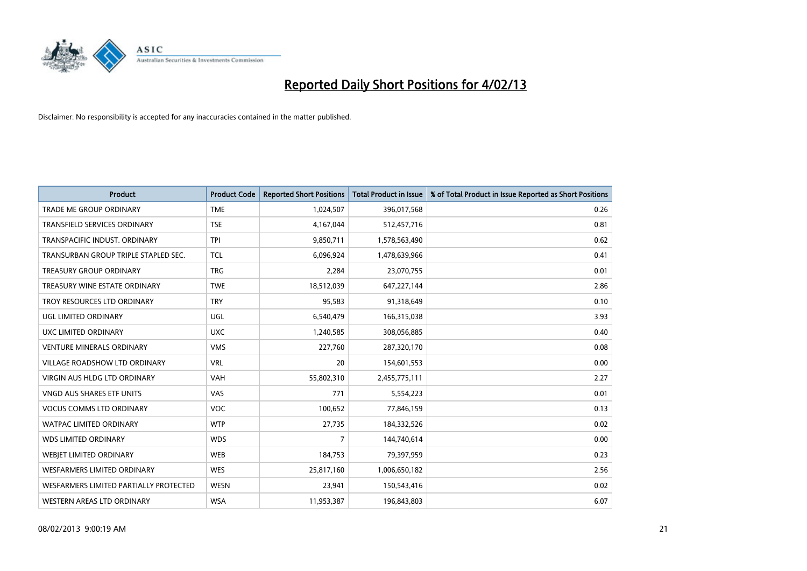

| <b>Product</b>                         | <b>Product Code</b> | <b>Reported Short Positions</b> | <b>Total Product in Issue</b> | % of Total Product in Issue Reported as Short Positions |
|----------------------------------------|---------------------|---------------------------------|-------------------------------|---------------------------------------------------------|
| <b>TRADE ME GROUP ORDINARY</b>         | <b>TME</b>          | 1,024,507                       | 396,017,568                   | 0.26                                                    |
| TRANSFIELD SERVICES ORDINARY           | <b>TSE</b>          | 4,167,044                       | 512,457,716                   | 0.81                                                    |
| TRANSPACIFIC INDUST, ORDINARY          | <b>TPI</b>          | 9,850,711                       | 1,578,563,490                 | 0.62                                                    |
| TRANSURBAN GROUP TRIPLE STAPLED SEC.   | <b>TCL</b>          | 6,096,924                       | 1,478,639,966                 | 0.41                                                    |
| <b>TREASURY GROUP ORDINARY</b>         | <b>TRG</b>          | 2,284                           | 23,070,755                    | 0.01                                                    |
| TREASURY WINE ESTATE ORDINARY          | <b>TWE</b>          | 18,512,039                      | 647,227,144                   | 2.86                                                    |
| TROY RESOURCES LTD ORDINARY            | <b>TRY</b>          | 95,583                          | 91,318,649                    | 0.10                                                    |
| UGL LIMITED ORDINARY                   | UGL                 | 6,540,479                       | 166,315,038                   | 3.93                                                    |
| UXC LIMITED ORDINARY                   | <b>UXC</b>          | 1,240,585                       | 308,056,885                   | 0.40                                                    |
| <b>VENTURE MINERALS ORDINARY</b>       | <b>VMS</b>          | 227,760                         | 287,320,170                   | 0.08                                                    |
| VILLAGE ROADSHOW LTD ORDINARY          | <b>VRL</b>          | 20                              | 154,601,553                   | 0.00                                                    |
| <b>VIRGIN AUS HLDG LTD ORDINARY</b>    | <b>VAH</b>          | 55,802,310                      | 2,455,775,111                 | 2.27                                                    |
| VNGD AUS SHARES ETF UNITS              | VAS                 | 771                             | 5,554,223                     | 0.01                                                    |
| <b>VOCUS COMMS LTD ORDINARY</b>        | <b>VOC</b>          | 100,652                         | 77,846,159                    | 0.13                                                    |
| <b>WATPAC LIMITED ORDINARY</b>         | <b>WTP</b>          | 27,735                          | 184,332,526                   | 0.02                                                    |
| <b>WDS LIMITED ORDINARY</b>            | <b>WDS</b>          | 7                               | 144,740,614                   | 0.00                                                    |
| WEBIET LIMITED ORDINARY                | <b>WEB</b>          | 184,753                         | 79,397,959                    | 0.23                                                    |
| <b>WESFARMERS LIMITED ORDINARY</b>     | <b>WES</b>          | 25,817,160                      | 1,006,650,182                 | 2.56                                                    |
| WESFARMERS LIMITED PARTIALLY PROTECTED | <b>WESN</b>         | 23,941                          | 150,543,416                   | 0.02                                                    |
| WESTERN AREAS LTD ORDINARY             | <b>WSA</b>          | 11,953,387                      | 196,843,803                   | 6.07                                                    |